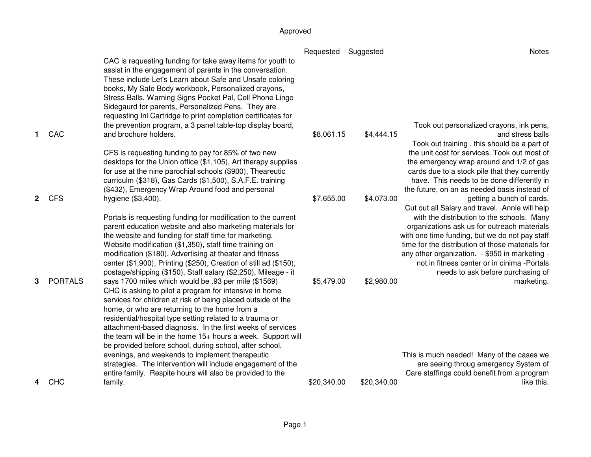|              |                |                                                                                                                                                                                                                                                                                                                                                                                                                                                                                                                                                                                                            | Requested   | Suggested   | <b>Notes</b>                                                                                                                                                                                                                                                                                                                                                          |
|--------------|----------------|------------------------------------------------------------------------------------------------------------------------------------------------------------------------------------------------------------------------------------------------------------------------------------------------------------------------------------------------------------------------------------------------------------------------------------------------------------------------------------------------------------------------------------------------------------------------------------------------------------|-------------|-------------|-----------------------------------------------------------------------------------------------------------------------------------------------------------------------------------------------------------------------------------------------------------------------------------------------------------------------------------------------------------------------|
| 1.           | CAC            | CAC is requesting funding for take away items for youth to<br>assist in the engagement of parents in the conversation.<br>These include Let's Learn about Safe and Unsafe coloring<br>books, My Safe Body workbook, Personalized crayons,<br>Stress Balls, Warning Signs Pocket Pal, Cell Phone Lingo<br>Sidegaurd for parents, Personalized Pens. They are<br>requesting Inl Cartridge to print completion certificates for<br>the prevention program, a 3 panel table-top display board,<br>and brochure holders.                                                                                        | \$8,061.15  | \$4,444.15  | Took out personalized crayons, ink pens,<br>and stress balls                                                                                                                                                                                                                                                                                                          |
| $\mathbf{2}$ | <b>CFS</b>     | CFS is requesting funding to pay for 85% of two new<br>desktops for the Union office (\$1,105), Art therapy supplies<br>for use at the nine parochial schools (\$900), Theareutic<br>curriculm (\$318), Gas Cards (\$1,500), S.A.F.E. training<br>(\$432), Emergency Wrap Around food and personal<br>hygiene (\$3,400).                                                                                                                                                                                                                                                                                   | \$7,655.00  | \$4,073.00  | Took out training, this should be a part of<br>the unit cost for services. Took out most of<br>the emergency wrap around and 1/2 of gas<br>cards due to a stock pile that they currently<br>have. This needs to be done differently in<br>the future, on an as needed basis instead of<br>getting a bunch of cards.<br>Cut out all Salary and travel. Annie will help |
| 3            | <b>PORTALS</b> | Portals is requesting funding for modification to the current<br>parent education website and also marketing materials for<br>the website and funding for staff time for marketing.<br>Website modification (\$1,350), staff time training on<br>modification (\$180), Advertising at theater and fitness<br>center (\$1,900), Printing (\$250), Creation of still ad (\$150),<br>postage/shipping (\$150), Staff salary (\$2,250), Mileage - it<br>says 1700 miles which would be .93 per mile (\$1569)                                                                                                   | \$5,479.00  | \$2,980.00  | with the distribution to the schools. Many<br>organizations ask us for outreach materials<br>with one time funding, but we do not pay staff<br>time for the distribution of those materials for<br>any other organization. - \$950 in marketing -<br>not in fitness center or in cinima -Portals<br>needs to ask before purchasing of<br>marketing.                   |
|              |                | CHC is asking to pilot a program for intensive in home<br>services for children at risk of being placed outside of the<br>home, or who are returning to the home from a<br>residential/hospital type setting related to a trauma or<br>attachment-based diagnosis. In the first weeks of services<br>the team will be in the home 15+ hours a week. Support will<br>be provided before school, during school, after school,<br>evenings, and weekends to implement therapeutic<br>strategies. The intervention will include engagement of the<br>entire family. Respite hours will also be provided to the |             |             | This is much needed! Many of the cases we<br>are seeing throug emergency System of<br>Care staffings could benefit from a program                                                                                                                                                                                                                                     |
| 4            | CHC            | family.                                                                                                                                                                                                                                                                                                                                                                                                                                                                                                                                                                                                    | \$20,340.00 | \$20,340.00 | like this.                                                                                                                                                                                                                                                                                                                                                            |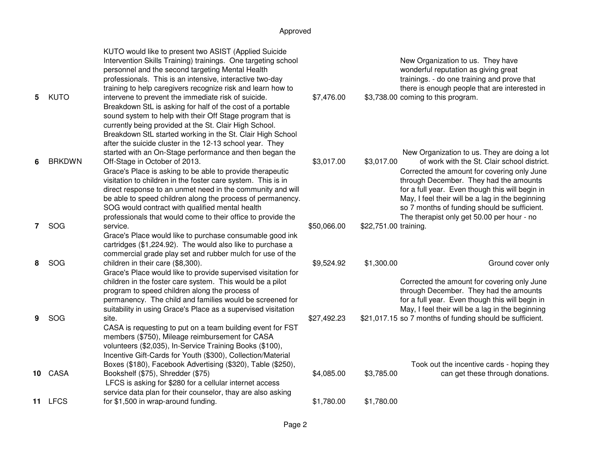| 5            | <b>KUTO</b>   | KUTO would like to present two ASIST (Applied Suicide<br>Intervention Skills Training) trainings. One targeting school<br>personnel and the second targeting Mental Health<br>professionals. This is an intensive, interactive two-day<br>training to help caregivers recognize risk and learn how to<br>intervene to prevent the immediate risk of suicide.                                              | \$7,476.00  |                       | New Organization to us. They have<br>wonderful reputation as giving great<br>trainings. - do one training and prove that<br>there is enough people that are interested in<br>\$3,738.00 coming to this program.                                                                                                                           |
|--------------|---------------|-----------------------------------------------------------------------------------------------------------------------------------------------------------------------------------------------------------------------------------------------------------------------------------------------------------------------------------------------------------------------------------------------------------|-------------|-----------------------|-------------------------------------------------------------------------------------------------------------------------------------------------------------------------------------------------------------------------------------------------------------------------------------------------------------------------------------------|
|              |               | Breakdown StL is asking for half of the cost of a portable<br>sound system to help with their Off Stage program that is<br>currently being provided at the St. Clair High School.<br>Breakdown StL started working in the St. Clair High School<br>after the suicide cluster in the 12-13 school year. They<br>started with an On-Stage performance and then began the                                    |             |                       | New Organization to us. They are doing a lot                                                                                                                                                                                                                                                                                              |
| 6            | <b>BRKDWN</b> | Off-Stage in October of 2013.<br>Grace's Place is asking to be able to provide therapeutic<br>visitation to children in the foster care system. This is in<br>direct response to an unmet need in the community and will<br>be able to speed children along the process of permanency.<br>SOG would contract with qualified mental health<br>professionals that would come to their office to provide the | \$3,017.00  | \$3,017.00            | of work with the St. Clair school district.<br>Corrected the amount for covering only June<br>through December. They had the amounts<br>for a full year. Even though this will begin in<br>May, I feel their will be a lag in the beginning<br>so 7 months of funding should be sufficient.<br>The therapist only get 50.00 per hour - no |
| $\mathbf{7}$ | SOG           | service.<br>Grace's Place would like to purchase consumable good ink<br>cartridges (\$1,224.92). The would also like to purchase a<br>commercial grade play set and rubber mulch for use of the                                                                                                                                                                                                           | \$50,066.00 | \$22,751.00 training. |                                                                                                                                                                                                                                                                                                                                           |
| 8            | SOG           | children in their care (\$8,300).<br>Grace's Place would like to provide supervised visitation for<br>children in the foster care system. This would be a pilot<br>program to speed children along the process of<br>permanency. The child and families would be screened for<br>suitability in using Grace's Place as a supervised visitation                                                            | \$9,524.92  | \$1,300.00            | Ground cover only<br>Corrected the amount for covering only June<br>through December. They had the amounts<br>for a full year. Even though this will begin in<br>May, I feel their will be a lag in the beginning                                                                                                                         |
| 9            | SOG           | site.<br>CASA is requesting to put on a team building event for FST<br>members (\$750), Mileage reimbursement for CASA<br>volunteers (\$2,035), In-Service Training Books (\$100),<br>Incentive Gift-Cards for Youth (\$300), Collection/Material                                                                                                                                                         | \$27,492.23 |                       | \$21,017.15 so 7 months of funding should be sufficient.                                                                                                                                                                                                                                                                                  |
| 10           | CASA          | Boxes (\$180), Facebook Advertising (\$320), Table (\$250),<br>Bookshelf (\$75), Shredder (\$75)<br>LFCS is asking for \$280 for a cellular internet access<br>service data plan for their counselor, thay are also asking                                                                                                                                                                                | \$4,085.00  | \$3,785.00            | Took out the incentive cards - hoping they<br>can get these through donations.                                                                                                                                                                                                                                                            |
|              | 11 LFCS       | for \$1,500 in wrap-around funding.                                                                                                                                                                                                                                                                                                                                                                       | \$1,780.00  | \$1,780.00            |                                                                                                                                                                                                                                                                                                                                           |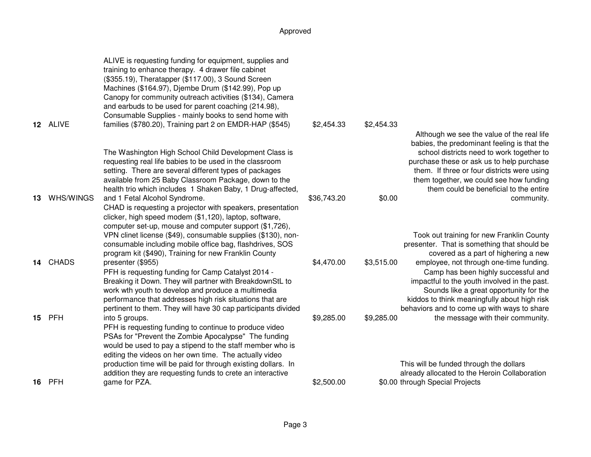|    |              | ALIVE is requesting funding for equipment, supplies and<br>training to enhance therapy. 4 drawer file cabinet<br>(\$355.19), Theratapper (\$117.00), 3 Sound Screen<br>Machines (\$164.97), Djembe Drum (\$142.99), Pop up<br>Canopy for community outreach activities (\$134), Camera<br>and earbuds to be used for parent coaching (214.98),<br>Consumable Supplies - mainly books to send home with |             |            |                                                                                                                                                                                                                                                                           |
|----|--------------|--------------------------------------------------------------------------------------------------------------------------------------------------------------------------------------------------------------------------------------------------------------------------------------------------------------------------------------------------------------------------------------------------------|-------------|------------|---------------------------------------------------------------------------------------------------------------------------------------------------------------------------------------------------------------------------------------------------------------------------|
|    | 12 ALIVE     | families (\$780.20), Training part 2 on EMDR-HAP (\$545)                                                                                                                                                                                                                                                                                                                                               | \$2,454.33  | \$2,454.33 | Although we see the value of the real life                                                                                                                                                                                                                                |
|    |              | The Washington High School Child Development Class is<br>requesting real life babies to be used in the classroom<br>setting. There are several different types of packages<br>available from 25 Baby Classroom Package, down to the<br>health trio which includes 1 Shaken Baby, 1 Drug-affected,                                                                                                      |             |            | babies, the predominant feeling is that the<br>school districts need to work together to<br>purchase these or ask us to help purchase<br>them. If three or four districts were using<br>them together, we could see how funding<br>them could be beneficial to the entire |
| 13 | WHS/WINGS    | and 1 Fetal Alcohol Syndrome.<br>CHAD is requesting a projector with speakers, presentation<br>clicker, high speed modem (\$1,120), laptop, software,<br>computer set-up, mouse and computer support (\$1,726),                                                                                                                                                                                        | \$36,743.20 | \$0.00     | community.                                                                                                                                                                                                                                                                |
|    |              | VPN clinet license (\$49), consumable supplies (\$130), non-<br>consumable including mobile office bag, flashdrives, SOS<br>program kit (\$490), Training for new Franklin County                                                                                                                                                                                                                      |             |            | Took out training for new Franklin County<br>presenter. That is something that should be<br>covered as a part of highering a new                                                                                                                                          |
| 14 | <b>CHADS</b> | presenter (\$955)<br>PFH is requesting funding for Camp Catalyst 2014 -<br>Breaking it Down. They will partner with BreakdownStL to<br>work wth youth to develop and produce a multimedia<br>performance that addresses high risk situations that are<br>pertinent to them. They will have 30 cap participants divided                                                                                 | \$4,470.00  | \$3,515.00 | employee, not through one-time funding.<br>Camp has been highly successful and<br>impactful to the youth involved in the past.<br>Sounds like a great opportunity for the<br>kiddos to think meaningfully about high risk<br>behaviors and to come up with ways to share  |
| 15 | PFH          | into 5 groups.<br>PFH is requesting funding to continue to produce video<br>PSAs for "Prevent the Zombie Apocalypse" The funding<br>would be used to pay a stipend to the staff member who is<br>editing the videos on her own time. The actually video                                                                                                                                                | \$9,285.00  | \$9,285.00 | the message with their community.                                                                                                                                                                                                                                         |
| 16 | PFH          | production time will be paid for through existing dollars. In<br>addition they are requesting funds to crete an interactive<br>game for PZA.                                                                                                                                                                                                                                                           | \$2,500.00  |            | This will be funded through the dollars<br>already allocated to the Heroin Collaboration<br>\$0.00 through Special Projects                                                                                                                                               |
|    |              |                                                                                                                                                                                                                                                                                                                                                                                                        |             |            |                                                                                                                                                                                                                                                                           |